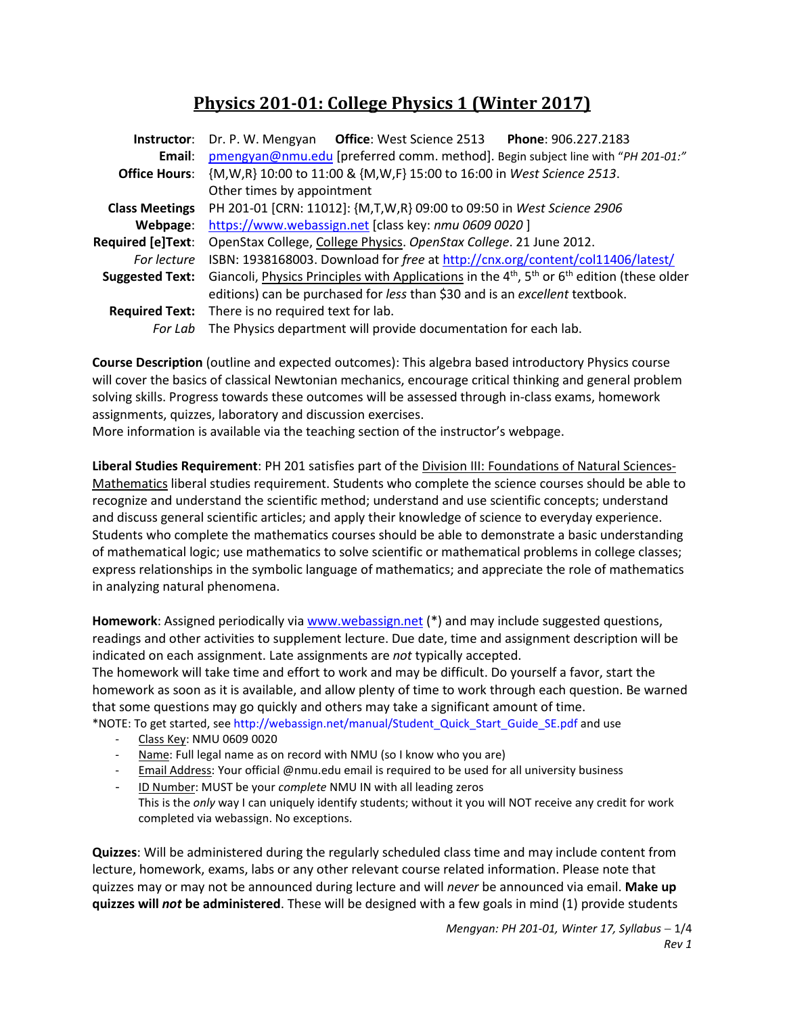# **Physics 201-01: College Physics 1 (Winter 2017)**

| Instructor:            | Dr. P. W. Mengyan Office: West Science 2513 Phone: 906.227.2183                                                       |  |  |  |  |  |
|------------------------|-----------------------------------------------------------------------------------------------------------------------|--|--|--|--|--|
| Email:                 | pmengyan@nmu.edu [preferred comm. method]. Begin subject line with "PH 201-01:"                                       |  |  |  |  |  |
| <b>Office Hours:</b>   | {M, W, R} 10:00 to 11:00 & {M, W, F} 15:00 to 16:00 in West Science 2513.                                             |  |  |  |  |  |
|                        | Other times by appointment                                                                                            |  |  |  |  |  |
| <b>Class Meetings</b>  | PH 201-01 [CRN: 11012]: {M,T,W,R} 09:00 to 09:50 in West Science 2906                                                 |  |  |  |  |  |
| Webpage:               | https://www.webassign.net [class key: nmu 0609 0020]                                                                  |  |  |  |  |  |
| Required [e]Text:      | OpenStax College, College Physics. OpenStax College. 21 June 2012.                                                    |  |  |  |  |  |
| For lecture            | ISBN: 1938168003. Download for free at http://cnx.org/content/col11406/latest/                                        |  |  |  |  |  |
| <b>Suggested Text:</b> | Giancoli, Physics Principles with Applications in the $4th$ , 5 <sup>th</sup> or 6 <sup>th</sup> edition (these older |  |  |  |  |  |
|                        | editions) can be purchased for less than \$30 and is an excellent textbook.                                           |  |  |  |  |  |
|                        | Required Text: There is no required text for lab.                                                                     |  |  |  |  |  |
| For Lab                | The Physics department will provide documentation for each lab.                                                       |  |  |  |  |  |

**Course Description** (outline and expected outcomes): This algebra based introductory Physics course will cover the basics of classical Newtonian mechanics, encourage critical thinking and general problem solving skills. Progress towards these outcomes will be assessed through in-class exams, homework assignments, quizzes, laboratory and discussion exercises.

More information is available via the teaching section of the instructor's webpage.

**Liberal Studies Requirement**: PH 201 satisfies part of the Division III: Foundations of Natural Sciences-Mathematics liberal studies requirement. Students who complete the science courses should be able to recognize and understand the scientific method; understand and use scientific concepts; understand and discuss general scientific articles; and apply their knowledge of science to everyday experience. Students who complete the mathematics courses should be able to demonstrate a basic understanding of mathematical logic; use mathematics to solve scientific or mathematical problems in college classes; express relationships in the symbolic language of mathematics; and appreciate the role of mathematics in analyzing natural phenomena.

**Homework**: Assigned periodically vi[a www.webassign.net](http://www.webassign.net/) (\*) and may include suggested questions, readings and other activities to supplement lecture. Due date, time and assignment description will be indicated on each assignment. Late assignments are *not* typically accepted.

The homework will take time and effort to work and may be difficult. Do yourself a favor, start the homework as soon as it is available, and allow plenty of time to work through each question. Be warned that some questions may go quickly and others may take a significant amount of time.

\*NOTE: To get started, se[e http://webassign.net/manual/Student\\_Quick\\_Start\\_Guide\\_SE.pdf](http://webassign.net/manual/Student_Quick_Start_Guide_SE.pdf) and use

- Class Key: NMU 0609 0020
- Name: Full legal name as on record with NMU (so I know who you are)
- Email Address: Your official @nmu.edu email is required to be used for all university business
- ID Number: MUST be your *complete* NMU IN with all leading zeros
- This is the *only* way I can uniquely identify students; without it you will NOT receive any credit for work completed via webassign. No exceptions.

**Quizzes**: Will be administered during the regularly scheduled class time and may include content from lecture, homework, exams, labs or any other relevant course related information. Please note that quizzes may or may not be announced during lecture and will *never* be announced via email. **Make up quizzes will** *not* **be administered**. These will be designed with a few goals in mind (1) provide students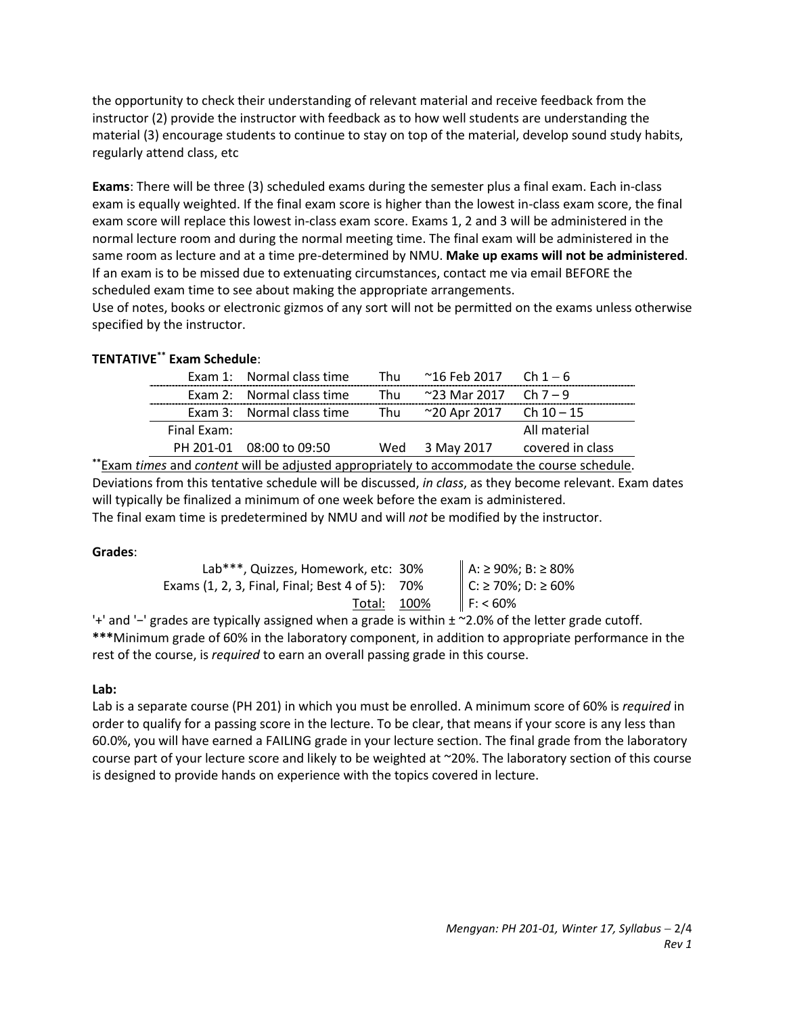the opportunity to check their understanding of relevant material and receive feedback from the instructor (2) provide the instructor with feedback as to how well students are understanding the material (3) encourage students to continue to stay on top of the material, develop sound study habits, regularly attend class, etc

**Exams**: There will be three (3) scheduled exams during the semester plus a final exam. Each in-class exam is equally weighted. If the final exam score is higher than the lowest in-class exam score, the final exam score will replace this lowest in-class exam score. Exams 1, 2 and 3 will be administered in the normal lecture room and during the normal meeting time. The final exam will be administered in the same room as lecture and at a time pre-determined by NMU. **Make up exams will not be administered**. If an exam is to be missed due to extenuating circumstances, contact me via email BEFORE the scheduled exam time to see about making the appropriate arrangements.

Use of notes, books or electronic gizmos of any sort will not be permitted on the exams unless otherwise specified by the instructor.

# **TENTATIVE\*\* Exam Schedule**:

|             | Exam 1: Normal class time | Thu | $^{\sim}$ 16 Feb 2017  Ch 1 $-$ 6 |                  |
|-------------|---------------------------|-----|-----------------------------------|------------------|
|             | Exam 2: Normal class time | Thu | $\sim$ 23 Mar 2017 Ch 7 – 9       |                  |
|             | Exam 3: Normal class time | Thu | ~20 Apr 2017  Ch 10 – 15          |                  |
| Final Exam: |                           |     |                                   | All material     |
|             | PH 201-01 08:00 to 09:50  |     | Wed 3 May 2017                    | covered in class |
|             |                           |     |                                   |                  |

**\*\***Exam *times* and *content* will be adjusted appropriately to accommodate the course schedule. Deviations from this tentative schedule will be discussed, *in class*, as they become relevant. Exam dates will typically be finalized a minimum of one week before the exam is administered. The final exam time is predetermined by NMU and will *not* be modified by the instructor.

# **Grades**:

| Lab***, Quizzes, Homework, etc: 30%             | A: ≥ 90%; B: ≥ 80%<br>C: ≥ 70%; D: ≥ 60% |
|-------------------------------------------------|------------------------------------------|
| Exams (1, 2, 3, Final, Final; Best 4 of 5): 70% |                                          |
| Total: 100%                                     | F: 60%                                   |

'+' and '−' grades are typically assigned when a grade is within ± ~2.0% of the letter grade cutoff. **\*\*\***Minimum grade of 60% in the laboratory component, in addition to appropriate performance in the rest of the course, is *required* to earn an overall passing grade in this course.

# **Lab:**

Lab is a separate course (PH 201) in which you must be enrolled. A minimum score of 60% is *required* in order to qualify for a passing score in the lecture. To be clear, that means if your score is any less than 60.0%, you will have earned a FAILING grade in your lecture section. The final grade from the laboratory course part of your lecture score and likely to be weighted at ~20%. The laboratory section of this course is designed to provide hands on experience with the topics covered in lecture.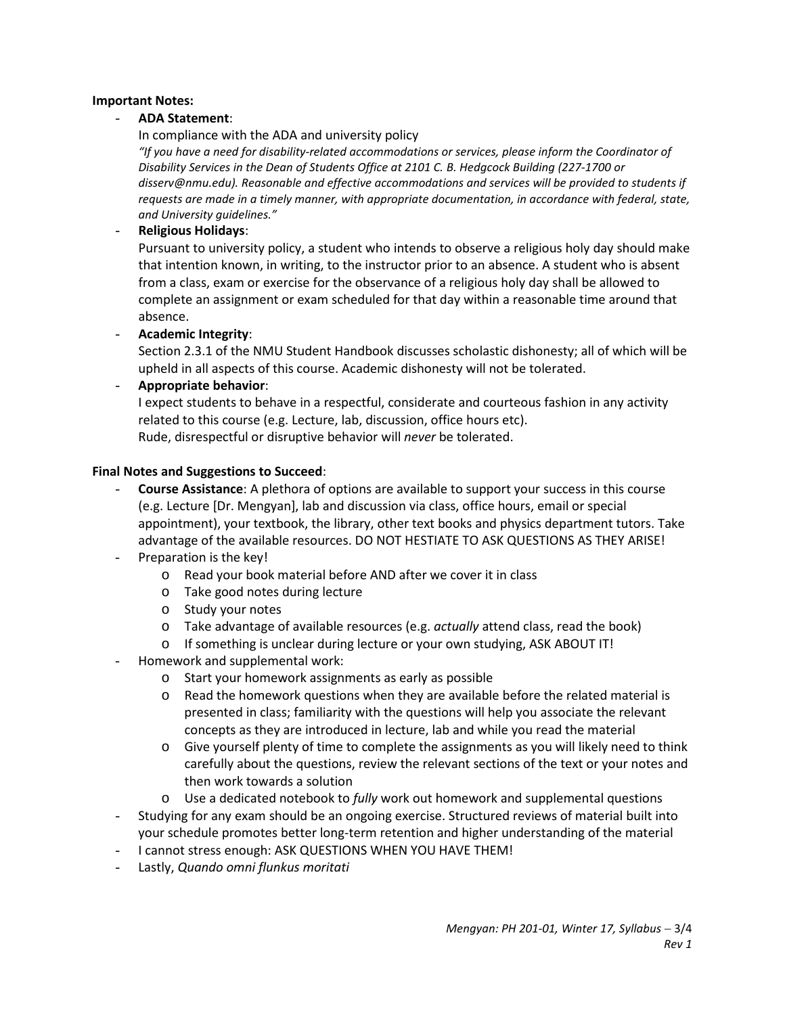# **Important Notes:**

# - **ADA Statement**:

In compliance with the ADA and university policy

*"If you have a need for disability-related accommodations or services, please inform the Coordinator of Disability Services in the Dean of Students Office at 2101 C. B. Hedgcock Building (227-1700 or disserv@nmu.edu). Reasonable and effective accommodations and services will be provided to students if requests are made in a timely manner, with appropriate documentation, in accordance with federal, state, and University guidelines."*

# - **Religious Holidays**:

Pursuant to university policy, a student who intends to observe a religious holy day should make that intention known, in writing, to the instructor prior to an absence. A student who is absent from a class, exam or exercise for the observance of a religious holy day shall be allowed to complete an assignment or exam scheduled for that day within a reasonable time around that absence.

- **Academic Integrity**:

Section 2.3.1 of the NMU Student Handbook discusses scholastic dishonesty; all of which will be upheld in all aspects of this course. Academic dishonesty will not be tolerated.

# - **Appropriate behavior**:

I expect students to behave in a respectful, considerate and courteous fashion in any activity related to this course (e.g. Lecture, lab, discussion, office hours etc). Rude, disrespectful or disruptive behavior will *never* be tolerated.

#### **Final Notes and Suggestions to Succeed**:

- **Course Assistance**: A plethora of options are available to support your success in this course (e.g. Lecture [Dr. Mengyan], lab and discussion via class, office hours, email or special appointment), your textbook, the library, other text books and physics department tutors. Take advantage of the available resources. DO NOT HESTIATE TO ASK QUESTIONS AS THEY ARISE!
- Preparation is the key!
	- o Read your book material before AND after we cover it in class
	- o Take good notes during lecture
	- o Study your notes
	- o Take advantage of available resources (e.g. *actually* attend class, read the book)
	- o If something is unclear during lecture or your own studying, ASK ABOUT IT!
- Homework and supplemental work:
	- o Start your homework assignments as early as possible
	- o Read the homework questions when they are available before the related material is presented in class; familiarity with the questions will help you associate the relevant concepts as they are introduced in lecture, lab and while you read the material
	- o Give yourself plenty of time to complete the assignments as you will likely need to think carefully about the questions, review the relevant sections of the text or your notes and then work towards a solution
	- o Use a dedicated notebook to *fully* work out homework and supplemental questions
- Studying for any exam should be an ongoing exercise. Structured reviews of material built into your schedule promotes better long-term retention and higher understanding of the material
- I cannot stress enough: ASK QUESTIONS WHEN YOU HAVE THEM!
- Lastly, *Quando omni flunkus moritati*